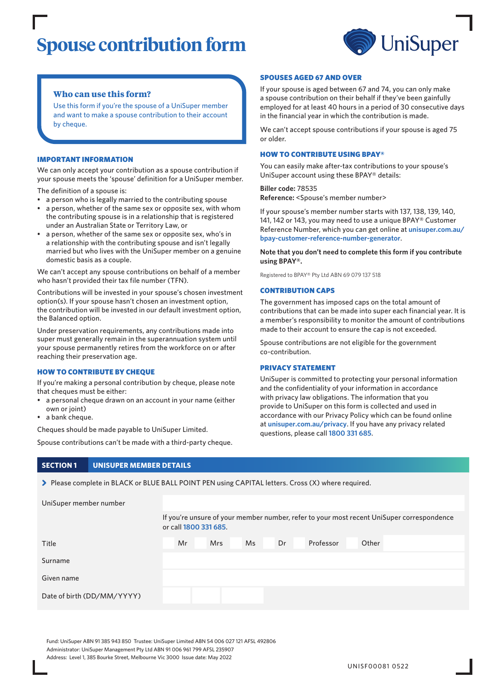# **Spouse contribution form**



## **Who can use this form?**

Use this form if you're the spouse of a UniSuper member and want to make a spouse contribution to their account by cheque.

#### IMPORTANT INFORMATION

We can only accept your contribution as a spouse contribution if your spouse meets the 'spouse' definition for a UniSuper member.

The definition of a spouse is:

- a person who is legally married to the contributing spouse
- a person, whether of the same sex or opposite sex, with whom the contributing spouse is in a relationship that is registered under an Australian State or Territory Law, or
- a person, whether of the same sex or opposite sex, who's in a relationship with the contributing spouse and isn't legally married but who lives with the UniSuper member on a genuine domestic basis as a couple.

We can't accept any spouse contributions on behalf of a member who hasn't provided their tax file number (TFN).

Contributions will be invested in your spouse's chosen investment option(s). If your spouse hasn't chosen an investment option, the contribution will be invested in our default investment option, the Balanced option.

Under preservation requirements, any contributions made into super must generally remain in the superannuation system until your spouse permanently retires from the workforce on or after reaching their preservation age.

#### HOW TO CONTRIBUTE BY CHEQUE

If you're making a personal contribution by cheque, please note that cheques must be either:

- a personal cheque drawn on an account in your name (either own or joint)
- a bank cheque.

Cheques should be made payable to UniSuper Limited.

Spouse contributions can't be made with a third-party cheque.

#### SPOUSES AGED 67 AND OVER

If your spouse is aged between 67 and 74, you can only make a spouse contribution on their behalf if they've been gainfully employed for at least 40 hours in a period of 30 consecutive days in the financial year in which the contribution is made.

We can't accept spouse contributions if your spouse is aged 75 or older.

#### HOW TO CONTRIBUTE USING BPAY®

You can easily make after-tax contributions to your spouse's UniSuper account using these BPAY® details:

**Biller code:** 78535 **Reference:** <Spouse's member number>

If your spouse's member number starts with 137, 138, 139, 140, 141, 142 or 143, you may need to use a unique BPAY® Customer Reference Number, which you can get online at **[unisuper.com.au/](http://unisuper.com.au/bpay-customer-reference-number-generator) [bpay-customer-reference-number-generator](http://unisuper.com.au/bpay-customer-reference-number-generator)** .

**Note that you don't need to complete this form if you contribute using BPAY®.**

Registered to BPAY® Pty Ltd ABN 69 079 137 518

#### CONTRIBUTION CAPS

The government has imposed caps on the total amount of contributions that can be made into super each financial year. It is a member's responsibility to monitor the amount of contributions made to their account to ensure the cap is not exceeded.

Spouse contributions are not eligible for the government co-contribution.

#### PRIVACY STATEMENT

UniSuper is committed to protecting your personal information and the confidentiality of your information in accordance with privacy law obligations. The information that you provide to UniSuper on this form is collected and used in accordance with our Privacy Policy which can be found online at **[unisuper.com.au/privacy](http://unisuper.com.au/privacy)** . If you have any privacy related questions, please call **1800 331 685**.

## **SECTION 1 UNISUPER MEMBER DETAILS**

> Please complete in BLACK or BLUE BALL POINT PEN using CAPITAL letters. Cross (X) where required.

| UniSuper member number     |                                                                                                                    |            |    |    |           |       |  |  |
|----------------------------|--------------------------------------------------------------------------------------------------------------------|------------|----|----|-----------|-------|--|--|
|                            | If you're unsure of your member number, refer to your most recent UniSuper correspondence<br>or call 1800 331 685. |            |    |    |           |       |  |  |
| Title                      | Mr                                                                                                                 | <b>Mrs</b> | Ms | Dr | Professor | Other |  |  |
| Surname                    |                                                                                                                    |            |    |    |           |       |  |  |
| Given name                 |                                                                                                                    |            |    |    |           |       |  |  |
| Date of birth (DD/MM/YYYY) |                                                                                                                    |            |    |    |           |       |  |  |

Fund: UniSuper ABN 91 385 943 850 Trustee: UniSuper Limited ABN 54 006 027 121 AFSL 492806 Administrator: UniSuper Management Pty Ltd ABN 91 006 961 799 AFSL 235907 Address: Level 1, 385 Bourke Street, Melbourne Vic 3000 Issue date: May 2022